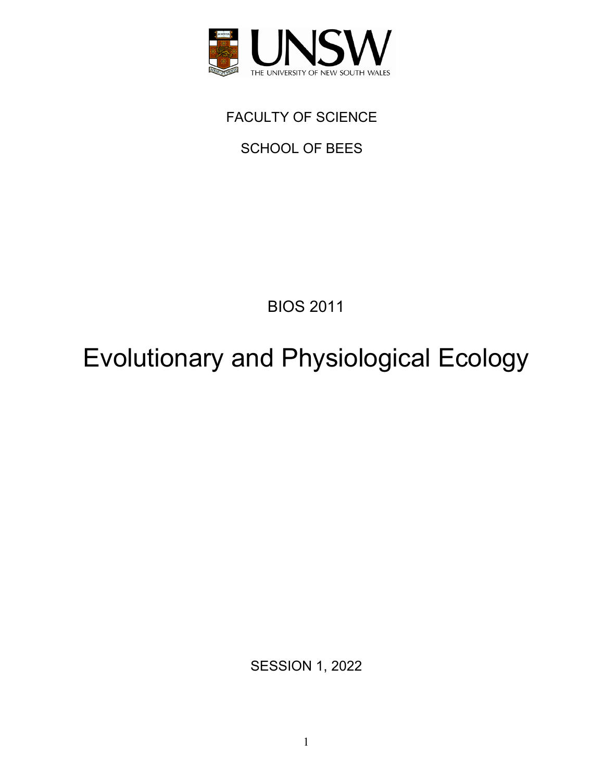

FACULTY OF SCIENCE

SCHOOL OF BEES

BIOS 2011

Evolutionary and Physiological Ecology

SESSION 1, 2022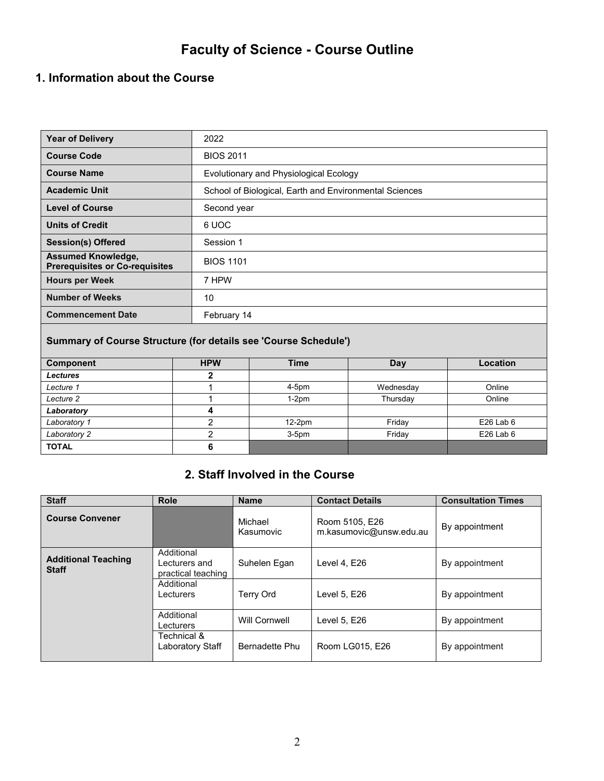# **Faculty of Science - Course Outline**

## **1. Information about the Course**

| <b>Year of Delivery</b>                                            | 2022                                                   |
|--------------------------------------------------------------------|--------------------------------------------------------|
| <b>Course Code</b>                                                 | <b>BIOS 2011</b>                                       |
| <b>Course Name</b>                                                 | Evolutionary and Physiological Ecology                 |
| <b>Academic Unit</b>                                               | School of Biological, Earth and Environmental Sciences |
| <b>Level of Course</b>                                             | Second year                                            |
| <b>Units of Credit</b>                                             | 6 UOC                                                  |
| <b>Session(s) Offered</b>                                          | Session 1                                              |
| <b>Assumed Knowledge,</b><br><b>Prerequisites or Co-requisites</b> | <b>BIOS 1101</b>                                       |
| <b>Hours per Week</b>                                              | 7 HPW                                                  |
| <b>Number of Weeks</b>                                             | 10                                                     |
| <b>Commencement Date</b>                                           | February 14                                            |

#### **Summary of Course Structure (for details see 'Course Schedule')**

| <b>Component</b> | <b>HPW</b> | <b>Time</b> | Day       | Location    |
|------------------|------------|-------------|-----------|-------------|
| <b>Lectures</b>  |            |             |           |             |
| Lecture 1        |            | $4-5pm$     | Wednesday | Online      |
| Lecture 2        |            | $1-2pm$     | Thursday  | Online      |
| Laboratory       |            |             |           |             |
| Laboratory 1     |            | $12-2pm$    | Friday    | $E26$ Lab 6 |
| Laboratory 2     |            | $3-5pm$     | Friday    | $E26$ Lab 6 |
| <b>TOTAL</b>     |            |             |           |             |

### **2. Staff Involved in the Course**

| <b>Staff</b>                               | <b>Role</b>                                       | <b>Name</b>          | <b>Contact Details</b>                    | <b>Consultation Times</b> |
|--------------------------------------------|---------------------------------------------------|----------------------|-------------------------------------------|---------------------------|
| <b>Course Convener</b>                     |                                                   | Michael<br>Kasumovic | Room 5105, E26<br>m.kasumovic@unsw.edu.au | By appointment            |
| <b>Additional Teaching</b><br><b>Staff</b> | Additional<br>Lecturers and<br>practical teaching | Suhelen Egan         | Level 4, E26                              | By appointment            |
|                                            | Additional<br>Lecturers                           | <b>Terry Ord</b>     | Level 5, E26                              | By appointment            |
|                                            | Additional<br>Lecturers                           | Will Cornwell        | Level 5, E26                              | By appointment            |
|                                            | Technical &<br>Laboratory Staff                   | Bernadette Phu       | Room LG015, E26                           | By appointment            |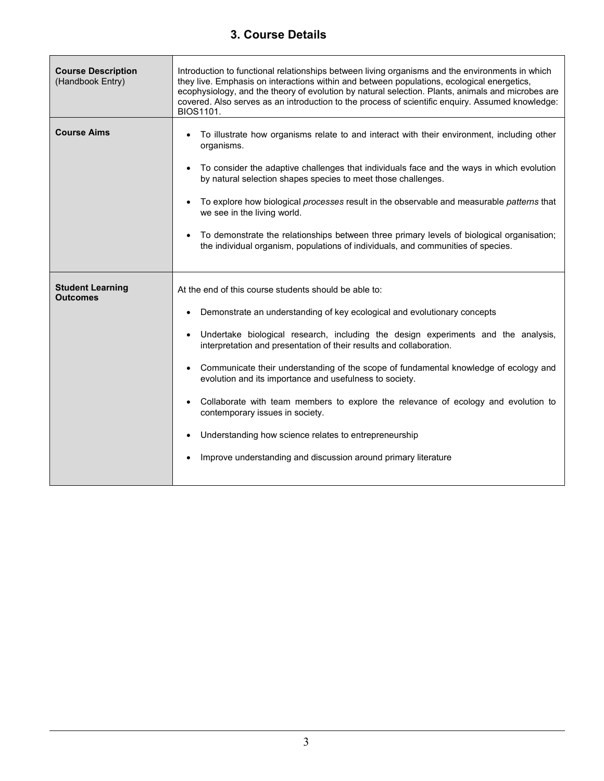### **3. Course Details**

| <b>Course Description</b><br>(Handbook Entry) | Introduction to functional relationships between living organisms and the environments in which<br>they live. Emphasis on interactions within and between populations, ecological energetics,<br>ecophysiology, and the theory of evolution by natural selection. Plants, animals and microbes are<br>covered. Also serves as an introduction to the process of scientific enquiry. Assumed knowledge:<br>BIOS1101.                                                                                                                                                                                                                                                                                  |
|-----------------------------------------------|------------------------------------------------------------------------------------------------------------------------------------------------------------------------------------------------------------------------------------------------------------------------------------------------------------------------------------------------------------------------------------------------------------------------------------------------------------------------------------------------------------------------------------------------------------------------------------------------------------------------------------------------------------------------------------------------------|
| <b>Course Aims</b>                            | To illustrate how organisms relate to and interact with their environment, including other<br>organisms.<br>To consider the adaptive challenges that individuals face and the ways in which evolution<br>by natural selection shapes species to meet those challenges.<br>To explore how biological processes result in the observable and measurable patterns that<br>we see in the living world.<br>To demonstrate the relationships between three primary levels of biological organisation;<br>the individual organism, populations of individuals, and communities of species.                                                                                                                  |
| <b>Student Learning</b><br><b>Outcomes</b>    | At the end of this course students should be able to:<br>Demonstrate an understanding of key ecological and evolutionary concepts<br>Undertake biological research, including the design experiments and the analysis,<br>interpretation and presentation of their results and collaboration.<br>Communicate their understanding of the scope of fundamental knowledge of ecology and<br>evolution and its importance and usefulness to society.<br>Collaborate with team members to explore the relevance of ecology and evolution to<br>contemporary issues in society.<br>Understanding how science relates to entrepreneurship<br>Improve understanding and discussion around primary literature |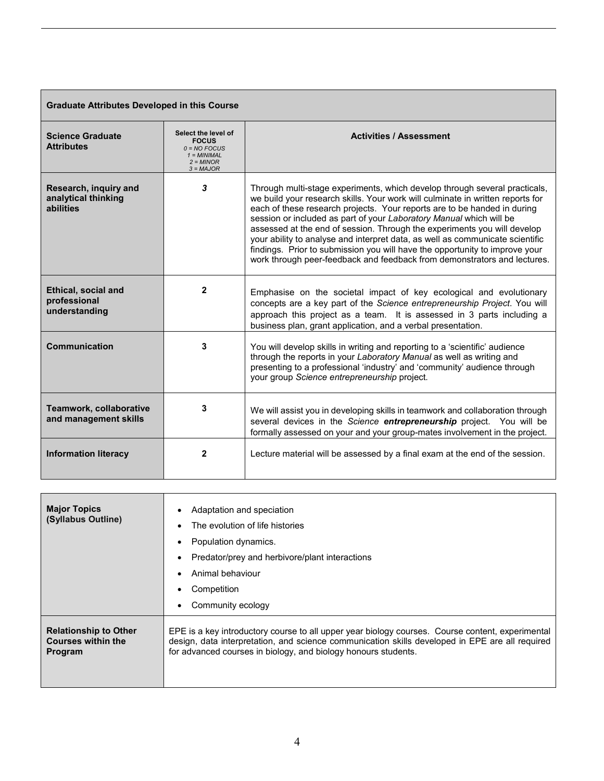| <b>Graduate Attributes Developed in this Course</b>         |                                                                                                      |                                                                                                                                                                                                                                                                                                                                                                                                                                                                                                                                                                                                                                         |  |  |  |
|-------------------------------------------------------------|------------------------------------------------------------------------------------------------------|-----------------------------------------------------------------------------------------------------------------------------------------------------------------------------------------------------------------------------------------------------------------------------------------------------------------------------------------------------------------------------------------------------------------------------------------------------------------------------------------------------------------------------------------------------------------------------------------------------------------------------------------|--|--|--|
| <b>Science Graduate</b><br><b>Attributes</b>                | Select the level of<br><b>FOCUS</b><br>$0 = NO$ FOCUS<br>$1 = MINIMAL$<br>$2 = MINOR$<br>$3 = MAJOR$ | <b>Activities / Assessment</b>                                                                                                                                                                                                                                                                                                                                                                                                                                                                                                                                                                                                          |  |  |  |
| Research, inquiry and<br>analytical thinking<br>abilities   | 3                                                                                                    | Through multi-stage experiments, which develop through several practicals,<br>we build your research skills. Your work will culminate in written reports for<br>each of these research projects. Your reports are to be handed in during<br>session or included as part of your Laboratory Manual which will be<br>assessed at the end of session. Through the experiments you will develop<br>your ability to analyse and interpret data, as well as communicate scientific<br>findings. Prior to submission you will have the opportunity to improve your<br>work through peer-feedback and feedback from demonstrators and lectures. |  |  |  |
| <b>Ethical, social and</b><br>professional<br>understanding | $\mathbf{2}$                                                                                         | Emphasise on the societal impact of key ecological and evolutionary<br>concepts are a key part of the Science entrepreneurship Project. You will<br>approach this project as a team. It is assessed in 3 parts including a<br>business plan, grant application, and a verbal presentation.                                                                                                                                                                                                                                                                                                                                              |  |  |  |
| <b>Communication</b>                                        | 3                                                                                                    | You will develop skills in writing and reporting to a 'scientific' audience<br>through the reports in your Laboratory Manual as well as writing and<br>presenting to a professional 'industry' and 'community' audience through<br>your group Science entrepreneurship project.                                                                                                                                                                                                                                                                                                                                                         |  |  |  |
| Teamwork, collaborative<br>and management skills            | 3                                                                                                    | We will assist you in developing skills in teamwork and collaboration through<br>several devices in the Science entrepreneurship project. You will be<br>formally assessed on your and your group-mates involvement in the project.                                                                                                                                                                                                                                                                                                                                                                                                     |  |  |  |
| <b>Information literacy</b>                                 | $\mathbf{2}$                                                                                         | Lecture material will be assessed by a final exam at the end of the session.                                                                                                                                                                                                                                                                                                                                                                                                                                                                                                                                                            |  |  |  |

| <b>Major Topics</b><br>(Syllabus Outline) | Adaptation and speciation<br>The evolution of life histories<br>Population dynamics.<br>Predator/prey and herbivore/plant interactions<br>Animal behaviour<br>Competition<br>Community ecology |
|-------------------------------------------|------------------------------------------------------------------------------------------------------------------------------------------------------------------------------------------------|
| <b>Relationship to Other</b>              | EPE is a key introductory course to all upper year biology courses. Course content, experimental                                                                                               |
| <b>Courses within the</b>                 | design, data interpretation, and science communication skills developed in EPE are all required                                                                                                |
| Program                                   | for advanced courses in biology, and biology honours students.                                                                                                                                 |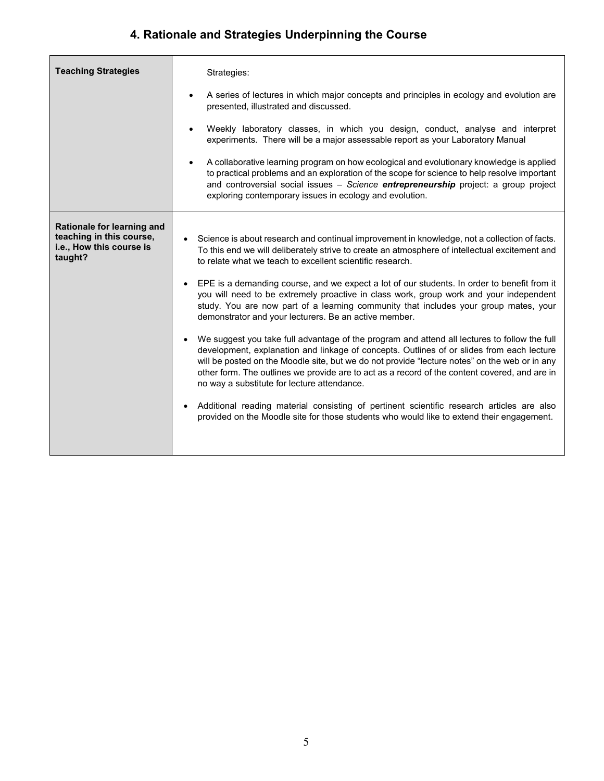# **4. Rationale and Strategies Underpinning the Course**

| <b>Teaching Strategies</b>                                                                    | Strategies:<br>A series of lectures in which major concepts and principles in ecology and evolution are<br>$\bullet$<br>presented, illustrated and discussed.<br>Weekly laboratory classes, in which you design, conduct, analyse and interpret<br>experiments. There will be a major assessable report as your Laboratory Manual<br>A collaborative learning program on how ecological and evolutionary knowledge is applied<br>to practical problems and an exploration of the scope for science to help resolve important<br>and controversial social issues - Science entrepreneurship project: a group project<br>exploring contemporary issues in ecology and evolution.                                                                                                                                                                                                                                                                                                                                                                                                                                                                                                                                                                                          |
|-----------------------------------------------------------------------------------------------|-------------------------------------------------------------------------------------------------------------------------------------------------------------------------------------------------------------------------------------------------------------------------------------------------------------------------------------------------------------------------------------------------------------------------------------------------------------------------------------------------------------------------------------------------------------------------------------------------------------------------------------------------------------------------------------------------------------------------------------------------------------------------------------------------------------------------------------------------------------------------------------------------------------------------------------------------------------------------------------------------------------------------------------------------------------------------------------------------------------------------------------------------------------------------------------------------------------------------------------------------------------------------|
| Rationale for learning and<br>teaching in this course,<br>i.e., How this course is<br>taught? | Science is about research and continual improvement in knowledge, not a collection of facts.<br>To this end we will deliberately strive to create an atmosphere of intellectual excitement and<br>to relate what we teach to excellent scientific research.<br>EPE is a demanding course, and we expect a lot of our students. In order to benefit from it<br>$\bullet$<br>you will need to be extremely proactive in class work, group work and your independent<br>study. You are now part of a learning community that includes your group mates, your<br>demonstrator and your lecturers. Be an active member.<br>We suggest you take full advantage of the program and attend all lectures to follow the full<br>development, explanation and linkage of concepts. Outlines of or slides from each lecture<br>will be posted on the Moodle site, but we do not provide "lecture notes" on the web or in any<br>other form. The outlines we provide are to act as a record of the content covered, and are in<br>no way a substitute for lecture attendance.<br>Additional reading material consisting of pertinent scientific research articles are also<br>$\bullet$<br>provided on the Moodle site for those students who would like to extend their engagement. |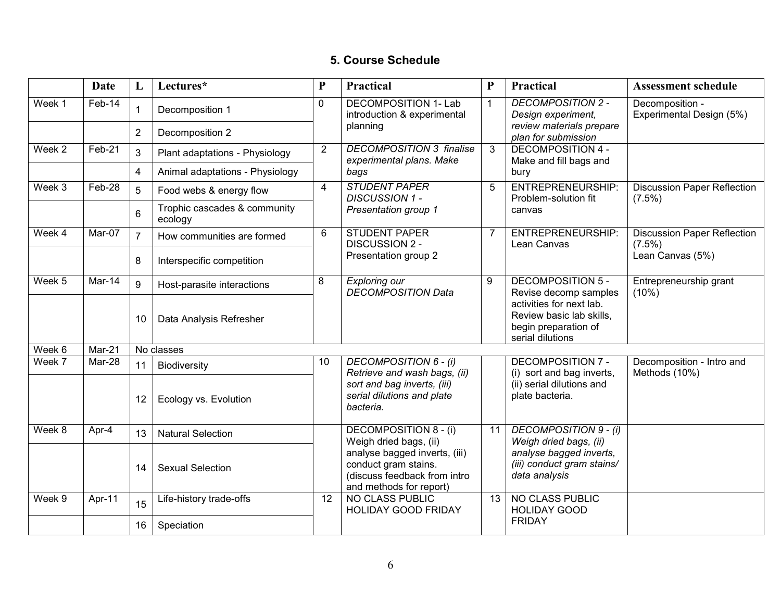### **5. Course Schedule**

|                            | <b>Date</b>                | L              | Lectures*                               | ${\bf P}$            | Practical                                                                                                        | $\mathbf{P}$ | <b>Practical</b>                                                                                 | <b>Assessment schedule</b>                      |  |
|----------------------------|----------------------------|----------------|-----------------------------------------|----------------------|------------------------------------------------------------------------------------------------------------------|--------------|--------------------------------------------------------------------------------------------------|-------------------------------------------------|--|
| Week 1                     | Feb-14                     | 1              | Decomposition 1                         | $\mathbf 0$          | <b>DECOMPOSITION 1- Lab</b><br>introduction & experimental                                                       | $\mathbf{1}$ | <b>DECOMPOSITION 2 -</b><br>Design experiment,                                                   | Decomposition -<br>Experimental Design (5%)     |  |
|                            |                            | $\overline{2}$ | Decomposition 2                         |                      | planning                                                                                                         |              | review materials prepare<br>plan for submission                                                  |                                                 |  |
| Week 2                     | Feb-21                     | 3              | Plant adaptations - Physiology          | $\overline{2}$       | <b>DECOMPOSITION 3 finalise</b><br>experimental plans. Make                                                      | 3            | <b>DECOMPOSITION 4 -</b><br>Make and fill bags and                                               |                                                 |  |
|                            |                            | $\overline{4}$ | Animal adaptations - Physiology         |                      | bags                                                                                                             |              | bury                                                                                             |                                                 |  |
| Week 3                     | Feb-28                     | 5              | Food webs & energy flow                 | $\overline{4}$       | <b>STUDENT PAPER</b><br><b>DISCUSSION 1 -</b>                                                                    | 5            | <b>ENTREPRENEURSHIP:</b><br>Problem-solution fit                                                 | <b>Discussion Paper Reflection</b><br>$(7.5\%)$ |  |
|                            |                            | $6\phantom{1}$ | Trophic cascades & community<br>ecology |                      | Presentation group 1                                                                                             |              | canvas                                                                                           |                                                 |  |
| Week 4                     | Mar-07                     | $\overline{7}$ | How communities are formed              | 6                    | <b>STUDENT PAPER</b><br><b>DISCUSSION 2 -</b>                                                                    | 7            | ENTREPRENEURSHIP:<br>Lean Canvas                                                                 | <b>Discussion Paper Reflection</b><br>$(7.5\%)$ |  |
|                            |                            | 8              | Interspecific competition               | Presentation group 2 |                                                                                                                  |              |                                                                                                  | Lean Canvas (5%)                                |  |
| $\overline{\text{Week}}$ 5 | Mar- $14$                  | 9              | Host-parasite interactions              | 8                    | <b>Exploring our</b><br><b>DECOMPOSITION Data</b>                                                                | 9            | <b>DECOMPOSITION 5 -</b><br>Revise decomp samples                                                | Entrepreneurship grant<br>$(10\%)$              |  |
|                            |                            | 10             | Data Analysis Refresher                 |                      |                                                                                                                  |              | activities for next lab.<br>Review basic lab skills,<br>begin preparation of<br>serial dilutions |                                                 |  |
| Week 6                     | $\overline{\text{Mar-21}}$ |                | No classes                              |                      |                                                                                                                  |              |                                                                                                  |                                                 |  |
| Week 7                     | Mar-28                     | 11             | Biodiversity                            | 10                   | <b>DECOMPOSITION 6 - (i)</b><br>Retrieve and wash bags, (ii)                                                     |              | <b>DECOMPOSITION 7 -</b><br>(i) sort and bag inverts,                                            | Decomposition - Intro and<br>Methods (10%)      |  |
|                            |                            | 12             | Ecology vs. Evolution                   |                      | sort and bag inverts, (iii)<br>serial dilutions and plate<br>bacteria.                                           |              | (ii) serial dilutions and<br>plate bacteria.                                                     |                                                 |  |
| Week 8                     | Apr-4                      | 13             | <b>Natural Selection</b>                |                      | <b>DECOMPOSITION 8 - (i)</b><br>Weigh dried bags, (ii)                                                           | 11           | <b>DECOMPOSITION 9 - (i)</b><br>Weigh dried bags, (ii)                                           |                                                 |  |
|                            |                            | 14             | <b>Sexual Selection</b>                 |                      | analyse bagged inverts, (iii)<br>conduct gram stains.<br>(discuss feedback from intro<br>and methods for report) |              | analyse bagged inverts,<br>(iii) conduct gram stains/<br>data analysis                           |                                                 |  |
| Week 9                     | Apr-11                     | 15             | Life-history trade-offs                 | 12                   | <b>NO CLASS PUBLIC</b><br><b>HOLIDAY GOOD FRIDAY</b>                                                             | 13           | <b>NO CLASS PUBLIC</b><br><b>HOLIDAY GOOD</b>                                                    |                                                 |  |
|                            |                            | 16             | Speciation                              |                      |                                                                                                                  |              | <b>FRIDAY</b>                                                                                    |                                                 |  |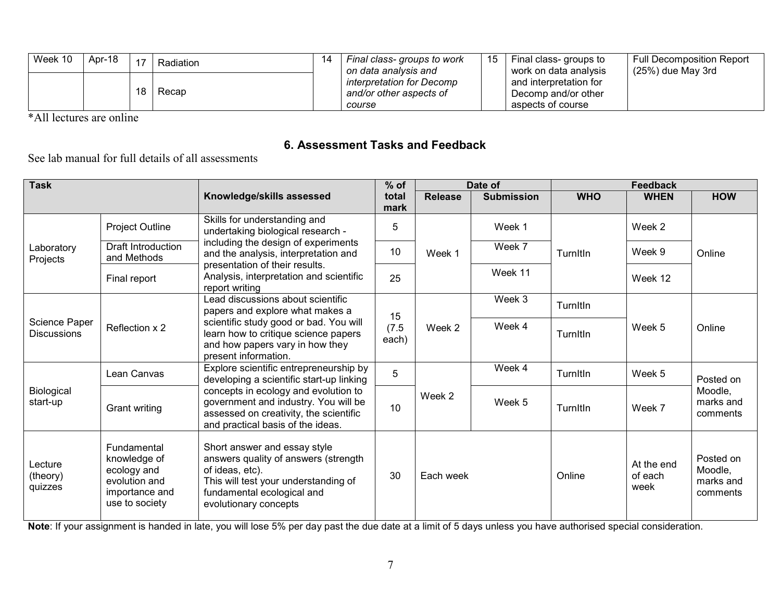| Week 10 | Apr-18 | 47 | Radiation | -14 | Final class-groups to work<br>on data analysis and             |  | Final class- groups to<br>work on data analysis                    | <b>Full Decomposition Report</b><br>$(25%)$ due May 3rd |
|---------|--------|----|-----------|-----|----------------------------------------------------------------|--|--------------------------------------------------------------------|---------------------------------------------------------|
|         |        |    | Recap     |     | interpretation for Decomp<br>and/or other aspects of<br>course |  | and interpretation for<br>Decomp and/or other<br>aspects of course |                                                         |

\*All lectures are online

### **6. Assessment Tasks and Feedback**

#### See lab manual for full details of all assessments

| <b>Task</b>                         |                                                                                                 |                                                                                                                                                                                        | $%$ of               |                | Date of           | Feedback   |                               |                                               |
|-------------------------------------|-------------------------------------------------------------------------------------------------|----------------------------------------------------------------------------------------------------------------------------------------------------------------------------------------|----------------------|----------------|-------------------|------------|-------------------------------|-----------------------------------------------|
|                                     |                                                                                                 | Knowledge/skills assessed                                                                                                                                                              | total<br>mark        | <b>Release</b> | <b>Submission</b> | <b>WHO</b> | <b>WHEN</b>                   | <b>HOW</b>                                    |
|                                     | Project Outline                                                                                 | Skills for understanding and<br>undertaking biological research -                                                                                                                      | 5                    |                | Week 1            |            | Week 2                        |                                               |
| Laboratory<br>Projects              | <b>Draft Introduction</b><br>and Methods                                                        | including the design of experiments<br>and the analysis, interpretation and                                                                                                            | 10                   | Week 1         | Week 7            | Turnitin   | Week 9                        | Online                                        |
|                                     | Final report                                                                                    | presentation of their results.<br>Analysis, interpretation and scientific<br>report writing                                                                                            | 25                   |                | Week 11           |            | Week 12                       |                                               |
|                                     |                                                                                                 | Lead discussions about scientific<br>papers and explore what makes a                                                                                                                   |                      |                | Week 3            | Turnitin   |                               |                                               |
| Science Paper<br><b>Discussions</b> | Reflection x 2                                                                                  | scientific study good or bad. You will<br>learn how to critique science papers<br>and how papers vary in how they<br>present information.                                              | 15<br>(7.5)<br>each) | Week 2         | Week 4            | Turnitin   | Week 5                        | Online                                        |
|                                     | Lean Canvas                                                                                     | Explore scientific entrepreneurship by<br>developing a scientific start-up linking                                                                                                     | 5                    |                | Week 4            | Turnitin   | Week 5                        | Posted on                                     |
| Biological<br>start-up              | <b>Grant writing</b>                                                                            | concepts in ecology and evolution to<br>government and industry. You will be<br>assessed on creativity, the scientific<br>and practical basis of the ideas.                            | 10                   | Week 2         | Week 5            | Turnitin   | Week 7                        | Moodle,<br>marks and<br>comments              |
| Lecture<br>(theory)<br>quizzes      | Fundamental<br>knowledge of<br>ecology and<br>evolution and<br>importance and<br>use to society | Short answer and essay style<br>answers quality of answers (strength<br>of ideas, etc).<br>This will test your understanding of<br>fundamental ecological and<br>evolutionary concepts | 30                   | Each week      |                   | Online     | At the end<br>of each<br>week | Posted on<br>Moodle,<br>marks and<br>comments |

**Note**: If your assignment is handed in late, you will lose 5% per day past the due date at a limit of 5 days unless you have authorised special consideration.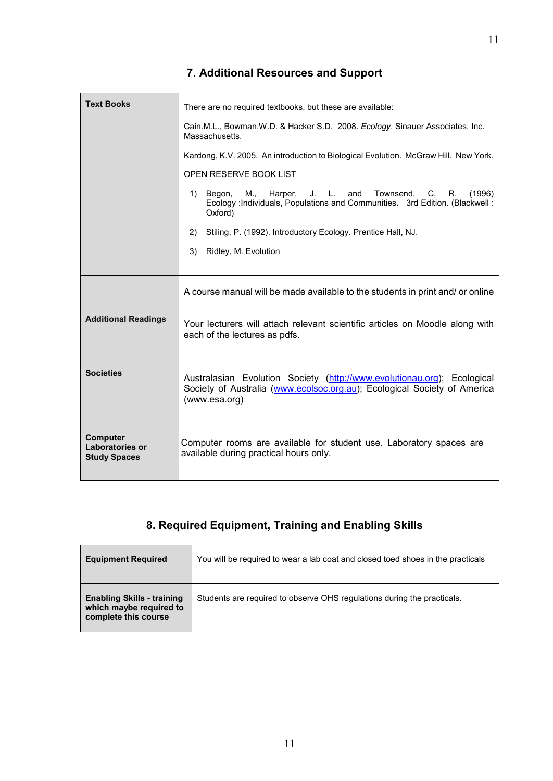## **7. Additional Resources and Support**

| <b>Text Books</b>                                         | There are no required textbooks, but these are available:                                                                                                            |  |  |  |  |  |  |
|-----------------------------------------------------------|----------------------------------------------------------------------------------------------------------------------------------------------------------------------|--|--|--|--|--|--|
|                                                           | Cain.M.L., Bowman, W.D. & Hacker S.D. 2008. Ecology. Sinauer Associates, Inc.<br>Massachusetts.                                                                      |  |  |  |  |  |  |
|                                                           | Kardong, K.V. 2005. An introduction to Biological Evolution. McGraw Hill. New York.                                                                                  |  |  |  |  |  |  |
|                                                           | OPEN RESERVE BOOK LIST                                                                                                                                               |  |  |  |  |  |  |
|                                                           | Harper, J. L. and<br>Townsend, C.<br>1)<br>Begon,<br>M.,<br>R.<br>(1996)<br>Ecology : Individuals, Populations and Communities. 3rd Edition. (Blackwell:<br>Oxford)  |  |  |  |  |  |  |
|                                                           | 2)<br>Stiling, P. (1992). Introductory Ecology. Prentice Hall, NJ.                                                                                                   |  |  |  |  |  |  |
|                                                           | 3)<br>Ridley, M. Evolution                                                                                                                                           |  |  |  |  |  |  |
|                                                           |                                                                                                                                                                      |  |  |  |  |  |  |
|                                                           | A course manual will be made available to the students in print and/ or online                                                                                       |  |  |  |  |  |  |
| <b>Additional Readings</b>                                | Your lecturers will attach relevant scientific articles on Moodle along with<br>each of the lectures as pdfs.                                                        |  |  |  |  |  |  |
| <b>Societies</b>                                          | Australasian Evolution Society (http://www.evolutionau.org); Ecological<br>Society of Australia (www.ecolsoc.org.au); Ecological Society of America<br>(www.esa.org) |  |  |  |  |  |  |
| <b>Computer</b><br>Laboratories or<br><b>Study Spaces</b> | Computer rooms are available for student use. Laboratory spaces are<br>available during practical hours only.                                                        |  |  |  |  |  |  |

## **8. Required Equipment, Training and Enabling Skills**

| <b>Equipment Required</b>                                                            | You will be required to wear a lab coat and closed toed shoes in the practicals |
|--------------------------------------------------------------------------------------|---------------------------------------------------------------------------------|
| <b>Enabling Skills - training</b><br>which maybe required to<br>complete this course | Students are required to observe OHS regulations during the practicals.         |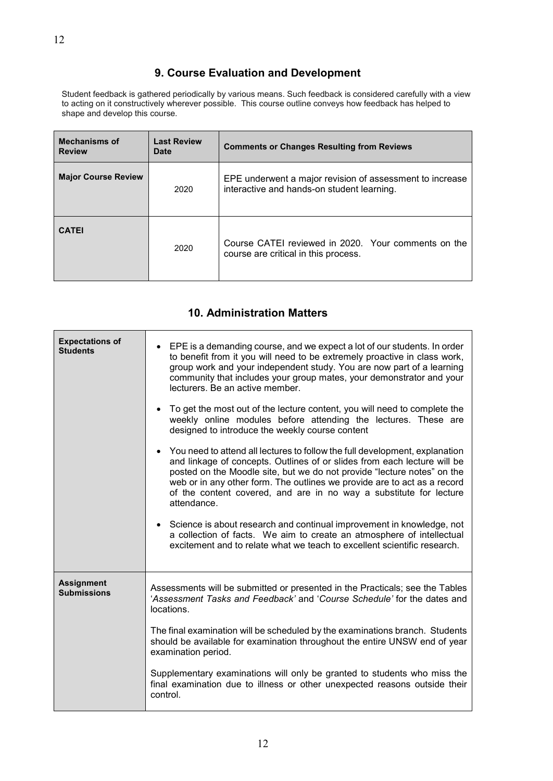#### **9. Course Evaluation and Development**

Student feedback is gathered periodically by various means. Such feedback is considered carefully with a view to acting on it constructively wherever possible. This course outline conveys how feedback has helped to shape and develop this course.

| <b>Mechanisms of</b><br><b>Review</b> | <b>Last Review</b><br>Date | <b>Comments or Changes Resulting from Reviews</b>                                                      |  |
|---------------------------------------|----------------------------|--------------------------------------------------------------------------------------------------------|--|
| <b>Major Course Review</b>            | 2020                       | EPE underwent a major revision of assessment to increase<br>interactive and hands-on student learning. |  |
| <b>CATEI</b>                          | 2020                       | Course CATEI reviewed in 2020. Your comments on the<br>course are critical in this process.            |  |

#### **10. Administration Matters**

| <b>Expectations of</b><br><b>Students</b> | EPE is a demanding course, and we expect a lot of our students. In order<br>to benefit from it you will need to be extremely proactive in class work,<br>group work and your independent study. You are now part of a learning<br>community that includes your group mates, your demonstrator and your<br>lecturers. Be an active member.<br>• To get the most out of the lecture content, you will need to complete the<br>weekly online modules before attending the lectures. These are<br>designed to introduce the weekly course content<br>• You need to attend all lectures to follow the full development, explanation<br>and linkage of concepts. Outlines of or slides from each lecture will be<br>posted on the Moodle site, but we do not provide "lecture notes" on the<br>web or in any other form. The outlines we provide are to act as a record<br>of the content covered, and are in no way a substitute for lecture<br>attendance.<br>• Science is about research and continual improvement in knowledge, not<br>a collection of facts. We aim to create an atmosphere of intellectual<br>excitement and to relate what we teach to excellent scientific research. |
|-------------------------------------------|----------------------------------------------------------------------------------------------------------------------------------------------------------------------------------------------------------------------------------------------------------------------------------------------------------------------------------------------------------------------------------------------------------------------------------------------------------------------------------------------------------------------------------------------------------------------------------------------------------------------------------------------------------------------------------------------------------------------------------------------------------------------------------------------------------------------------------------------------------------------------------------------------------------------------------------------------------------------------------------------------------------------------------------------------------------------------------------------------------------------------------------------------------------------------------------|
| <b>Assignment</b><br><b>Submissions</b>   | Assessments will be submitted or presented in the Practicals; see the Tables<br>'Assessment Tasks and Feedback' and 'Course Schedule' for the dates and<br>locations.<br>The final examination will be scheduled by the examinations branch. Students<br>should be available for examination throughout the entire UNSW end of year<br>examination period.<br>Supplementary examinations will only be granted to students who miss the<br>final examination due to illness or other unexpected reasons outside their<br>control.                                                                                                                                                                                                                                                                                                                                                                                                                                                                                                                                                                                                                                                       |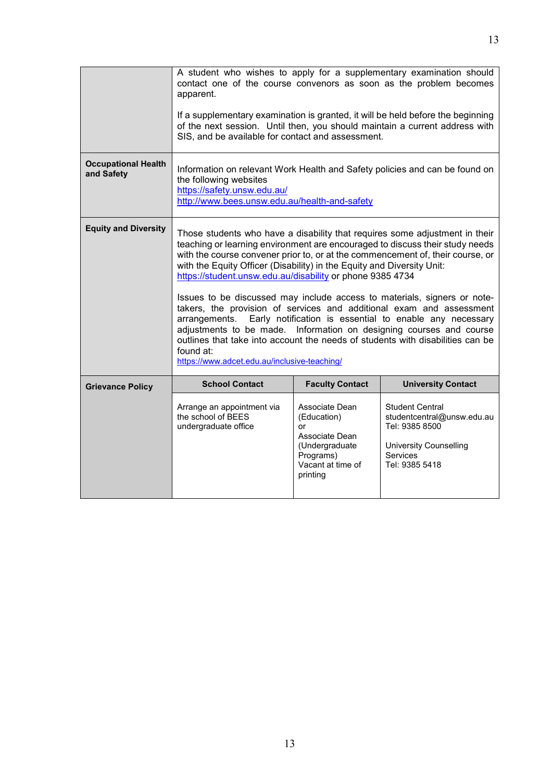|                                          | A student who wishes to apply for a supplementary examination should<br>contact one of the course convenors as soon as the problem becomes<br>apparent.<br>If a supplementary examination is granted, it will be held before the beginning<br>of the next session. Until then, you should maintain a current address with<br>SIS, and be available for contact and assessment.                                                                                                                                                                                                                                                                                                                                                                                                                                                             |                                                                                                                       |                                                                                                                                |  |  |
|------------------------------------------|--------------------------------------------------------------------------------------------------------------------------------------------------------------------------------------------------------------------------------------------------------------------------------------------------------------------------------------------------------------------------------------------------------------------------------------------------------------------------------------------------------------------------------------------------------------------------------------------------------------------------------------------------------------------------------------------------------------------------------------------------------------------------------------------------------------------------------------------|-----------------------------------------------------------------------------------------------------------------------|--------------------------------------------------------------------------------------------------------------------------------|--|--|
| <b>Occupational Health</b><br>and Safety | Information on relevant Work Health and Safety policies and can be found on<br>the following websites<br>https://safety.unsw.edu.au/<br>http://www.bees.unsw.edu.au/health-and-safety                                                                                                                                                                                                                                                                                                                                                                                                                                                                                                                                                                                                                                                      |                                                                                                                       |                                                                                                                                |  |  |
| <b>Equity and Diversity</b>              | Those students who have a disability that requires some adjustment in their<br>teaching or learning environment are encouraged to discuss their study needs<br>with the course convener prior to, or at the commencement of, their course, or<br>with the Equity Officer (Disability) in the Equity and Diversity Unit:<br>https://student.unsw.edu.au/disability or phone 9385 4734<br>Issues to be discussed may include access to materials, signers or note-<br>takers, the provision of services and additional exam and assessment<br>Early notification is essential to enable any necessary<br>arrangements.<br>adjustments to be made. Information on designing courses and course<br>outlines that take into account the needs of students with disabilities can be<br>found at:<br>https://www.adcet.edu.au/inclusive-teaching/ |                                                                                                                       |                                                                                                                                |  |  |
| <b>Grievance Policy</b>                  | <b>School Contact</b>                                                                                                                                                                                                                                                                                                                                                                                                                                                                                                                                                                                                                                                                                                                                                                                                                      | <b>Faculty Contact</b>                                                                                                | <b>University Contact</b>                                                                                                      |  |  |
|                                          | Arrange an appointment via<br>the school of BEES<br>undergraduate office                                                                                                                                                                                                                                                                                                                                                                                                                                                                                                                                                                                                                                                                                                                                                                   | Associate Dean<br>(Education)<br>or<br>Associate Dean<br>(Undergraduate<br>Programs)<br>Vacant at time of<br>printing | Student Central<br>studentcentral@unsw.edu.au<br>Tel: 9385 8500<br><b>University Counselling</b><br>Services<br>Tel: 9385 5418 |  |  |